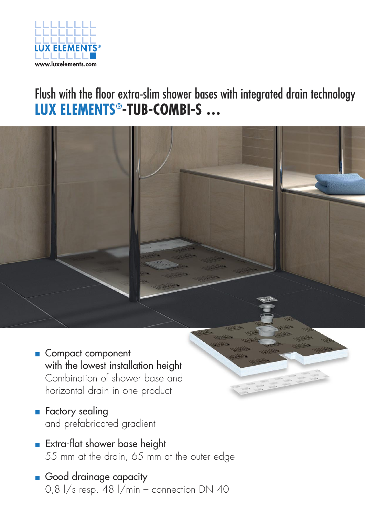

## Flush with the floor extra-slim shower bases with integrated drain technology **LUX ELEMENTS®-TUB-COMBI-S …**



- **Exectory sealing** and prefabricated gradient
- **Extra-flat shower base height** 55 mm at the drain, 65 mm at the outer edge
- **Good drainage capacity** 0,8  $1/s$  resp. 48  $1/min -$  connection DN 40